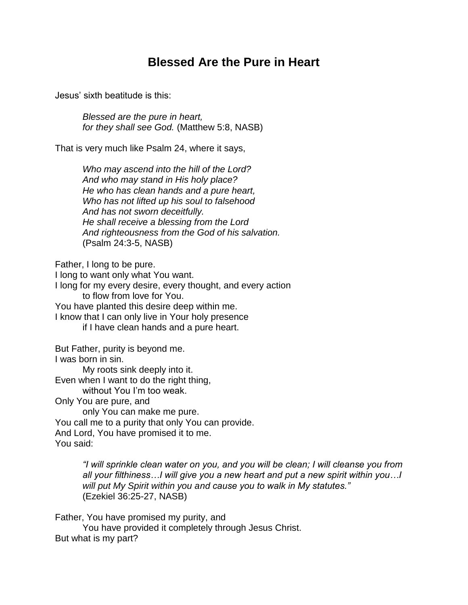## **Blessed Are the Pure in Heart**

Jesus' sixth beatitude is this:

*Blessed are the pure in heart, for they shall see God.* (Matthew 5:8, NASB)

That is very much like Psalm 24, where it says,

*Who may ascend into the hill of the Lord? And who may stand in His holy place? He who has clean hands and a pure heart, Who has not lifted up his soul to falsehood And has not sworn deceitfully. He shall receive a blessing from the Lord And righteousness from the God of his salvation.* (Psalm 24:3-5, NASB)

Father, I long to be pure.

I long to want only what You want.

I long for my every desire, every thought, and every action to flow from love for You.

You have planted this desire deep within me.

I know that I can only live in Your holy presence if I have clean hands and a pure heart.

But Father, purity is beyond me.

I was born in sin.

My roots sink deeply into it.

Even when I want to do the right thing,

without You I'm too weak.

Only You are pure, and

only You can make me pure. You call me to a purity that only You can provide. And Lord, You have promised it to me. You said:

> *"I will sprinkle clean water on you, and you will be clean; I will cleanse you from all your filthiness…I will give you a new heart and put a new spirit within you…I will put My Spirit within you and cause you to walk in My statutes."* (Ezekiel 36:25-27, NASB)

Father, You have promised my purity, and

You have provided it completely through Jesus Christ. But what is my part?